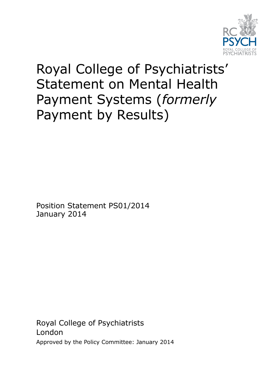

# Royal College of Psychiatrists' Statement on Mental Health Payment Systems (*formerly* Payment by Results)

Position Statement PS01/2014 January 2014

Royal College of Psychiatrists London Approved by the Policy Committee: January 2014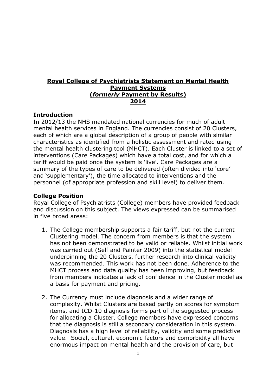## **Royal College of Psychiatrists Statement on Mental Health Payment Systems (***formerly* **Payment by Results) 2014**

## **Introduction**

In 2012/13 the NHS mandated national currencies for much of adult mental health services in England. The currencies consist of 20 Clusters, each of which are a global description of a group of people with similar characteristics as identified from a holistic assessment and rated using the mental health clustering tool (MHCT). Each Cluster is linked to a set of interventions (Care Packages) which have a total cost, and for which a tariff would be paid once the system is 'live'. Care Packages are a summary of the types of care to be delivered (often divided into 'core' and 'supplementary'), the time allocated to interventions and the personnel (of appropriate profession and skill level) to deliver them.

## **College Position**

Royal College of Psychiatrists (College) members have provided feedback and discussion on this subject. The views expressed can be summarised in five broad areas:

- 1. The College membership supports a fair tariff, but not the current Clustering model. The concern from members is that the system has not been demonstrated to be valid or reliable. Whilst initial work was carried out (Self and Painter 2009) into the statistical model underpinning the 20 Clusters, further research into clinical validity was recommended. This work has not been done. Adherence to the MHCT process and data quality has been improving, but feedback from members indicates a lack of confidence in the Cluster model as a basis for payment and pricing.
- 2. The Currency must include diagnosis and a wider range of complexity. Whilst Clusters are based partly on scores for symptom items, and ICD-10 diagnosis forms part of the suggested process for allocating a Cluster, College members have expressed concerns that the diagnosis is still a secondary consideration in this system. Diagnosis has a high level of reliability, validity and some predictive value. Social, cultural, economic factors and comorbidity all have enormous impact on mental health and the provision of care, but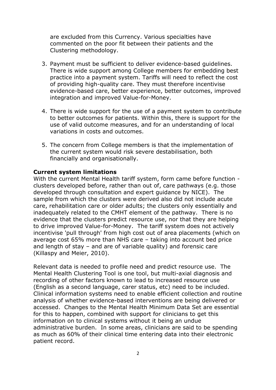are excluded from this Currency. Various specialties have commented on the poor fit between their patients and the Clustering methodology.

- 3. Payment must be sufficient to deliver evidence-based guidelines. There is wide support among College members for embedding best practice into a payment system. Tariffs will need to reflect the cost of providing high-quality care. They must therefore incentivise evidence-based care, better experience, better outcomes, improved integration and improved Value-for-Money.
- 4. There is wide support for the use of a payment system to contribute to better outcomes for patients. Within this, there is support for the use of valid outcome measures, and for an understanding of local variations in costs and outcomes.
- 5. The concern from College members is that the implementation of the current system would risk severe destabilisation, both financially and organisationally.

#### **Current system limitations**

With the current Mental Health tariff system, form came before function clusters developed before, rather than out of, care pathways (e.g. those developed through consultation and expert guidance by NICE). The sample from which the clusters were derived also did not include acute care, rehabilitation care or older adults; the clusters only essentially and inadequately related to the CMHT element of the pathway. There is no evidence that the clusters predict resource use, nor that they are helping to drive improved Value-for-Money. The tariff system does not actively incentivise 'pull through' from high cost out of area placements (which on average cost 65% more than NHS care – taking into account bed price and length of stay – and are of variable quality) and forensic care (Killaspy and Meier, 2010).

Relevant data is needed to profile need and predict resource use. The Mental Health Clustering Tool is one tool, but multi-axial diagnosis and recording of other factors known to lead to increased resource use (English as a second language, carer status, etc) need to be included. Clinical information systems need to enable efficient collection and routine analysis of whether evidence-based interventions are being delivered or accessed. Changes to the Mental Health Minimum Data Set are essential for this to happen, combined with support for clinicians to get this information on to clinical systems without it being an undue administrative burden. In some areas, clinicians are said to be spending as much as 60% of their clinical time entering data into their electronic patient record.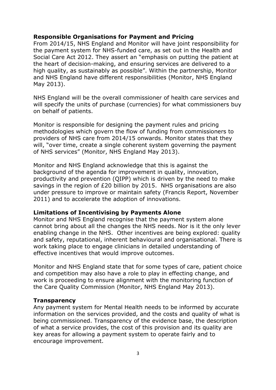## **Responsible Organisations for Payment and Pricing**

From 2014/15, NHS England and Monitor will have joint responsibility for the payment system for NHS-funded care, as set out in the Health and Social Care Act 2012. They assert an "emphasis on putting the patient at the heart of decision-making, and ensuring services are delivered to a high quality, as sustainably as possible". Within the partnership, Monitor and NHS England have different responsibilities (Monitor, NHS England May 2013).

NHS England will be the overall commissioner of health care services and will specify the units of purchase (currencies) for what commissioners buy on behalf of patients.

Monitor is responsible for designing the payment rules and pricing methodologies which govern the flow of funding from commissioners to providers of NHS care from 2014/15 onwards. Monitor states that they will, "over time, create a single coherent system governing the payment of NHS services" (Monitor, NHS England May 2013).

Monitor and NHS England acknowledge that this is against the background of the agenda for improvement in quality, innovation, productivity and prevention (QIPP) which is driven by the need to make savings in the region of £20 billion by 2015. NHS organisations are also under pressure to improve or maintain safety (Francis Report, November 2011) and to accelerate the adoption of innovations.

#### **Limitations of Incentivising by Payments Alone**

Monitor and NHS England recognise that the payment system alone cannot bring about all the changes the NHS needs. Nor is it the only lever enabling change in the NHS. Other incentives are being explored: quality and safety, reputational, inherent behavioural and organisational. There is work taking place to engage clinicians in detailed understanding of effective incentives that would improve outcomes.

Monitor and NHS England state that for some types of care, patient choice and competition may also have a role to play in effecting change, and work is proceeding to ensure alignment with the monitoring function of the Care Quality Commission (Monitor, NHS England May 2013).

#### **Transparency**

Any payment system for Mental Health needs to be informed by accurate information on the services provided, and the costs and quality of what is being commissioned. Transparency of the evidence base, the description of what a service provides, the cost of this provision and its quality are key areas for allowing a payment system to operate fairly and to encourage improvement.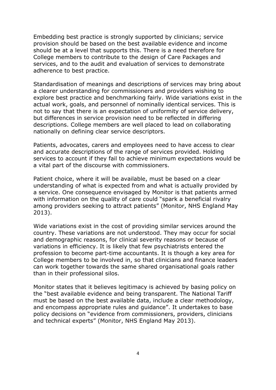Embedding best practice is strongly supported by clinicians; service provision should be based on the best available evidence and income should be at a level that supports this. There is a need therefore for College members to contribute to the design of Care Packages and services, and to the audit and evaluation of services to demonstrate adherence to best practice.

Standardisation of meanings and descriptions of services may bring about a clearer understanding for commissioners and providers wishing to explore best practice and benchmarking fairly. Wide variations exist in the actual work, goals, and personnel of nominally identical services. This is not to say that there is an expectation of uniformity of service delivery, but differences in service provision need to be reflected in differing descriptions. College members are well placed to lead on collaborating nationally on defining clear service descriptors.

Patients, advocates, carers and employees need to have access to clear and accurate descriptions of the range of services provided. Holding services to account if they fail to achieve minimum expectations would be a vital part of the discourse with commissioners.

Patient choice, where it will be available, must be based on a clear understanding of what is expected from and what is actually provided by a service. One consequence envisaged by Monitor is that patients armed with information on the quality of care could "spark a beneficial rivalry among providers seeking to attract patients" (Monitor, NHS England May 2013).

Wide variations exist in the cost of providing similar services around the country. These variations are not understood. They may occur for social and demographic reasons, for clinical severity reasons or because of variations in efficiency. It is likely that few psychiatrists entered the profession to become part-time accountants. It is though a key area for College members to be involved in, so that clinicians and finance leaders can work together towards the same shared organisational goals rather than in their professional silos.

Monitor states that it believes legitimacy is achieved by basing policy on the "best available evidence and being transparent. The National Tariff must be based on the best available data, include a clear methodology, and encompass appropriate rules and guidance". It undertakes to base policy decisions on "evidence from commissioners, providers, clinicians and technical experts" (Monitor, NHS England May 2013).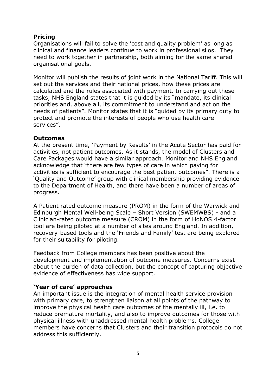## **Pricing**

Organisations will fail to solve the 'cost and quality problem' as long as clinical and finance leaders continue to work in professional silos. They need to work together in partnership, both aiming for the same shared organisational goals.

Monitor will publish the results of joint work in the National Tariff. This will set out the services and their national prices, how these prices are calculated and the rules associated with payment. In carrying out these tasks, NHS England states that it is guided by its "mandate, its clinical priorities and, above all, its commitment to understand and act on the needs of patients". Monitor states that it is "guided by its primary duty to protect and promote the interests of people who use health care services".

## **Outcomes**

At the present time, 'Payment by Results' in the Acute Sector has paid for activities, not patient outcomes. As it stands, the model of Clusters and Care Packages would have a similar approach. Monitor and NHS England acknowledge that "there are few types of care in which paying for activities is sufficient to encourage the best patient outcomes". There is a 'Quality and Outcome' group with clinical membership providing evidence to the Department of Health, and there have been a number of areas of progress.

A Patient rated outcome measure (PROM) in the form of the Warwick and Edinburgh Mental Well-being Scale – Short Version (SWEMWBS) - and a Clinician-rated outcome measure (CROM) in the form of HoNOS 4-factor tool are being piloted at a number of sites around England. In addition, recovery-based tools and the 'Friends and Family' test are being explored for their suitability for piloting.

Feedback from College members has been positive about the development and implementation of outcome measures. Concerns exist about the burden of data collection, but the concept of capturing objective evidence of effectiveness has wide support.

## **'Year of care' approaches**

An important issue is the integration of mental health service provision with primary care, to strengthen liaison at all points of the pathway to improve the physical health care outcomes of the mentally ill, i.e. to reduce premature mortality, and also to improve outcomes for those with physical illness with unaddressed mental health problems. College members have concerns that Clusters and their transition protocols do not address this sufficiently.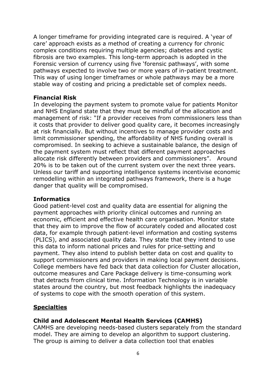A longer timeframe for providing integrated care is required. A 'year of care' approach exists as a method of creating a currency for chronic complex conditions requiring multiple agencies; diabetes and cystic fibrosis are two examples. This long-term approach is adopted in the Forensic version of currency using five 'forensic pathways', with some pathways expected to involve two or more years of in-patient treatment. This way of using longer timeframes or whole pathways may be a more stable way of costing and pricing a predictable set of complex needs.

#### **Financial Risk**

In developing the payment system to promote value for patients Monitor and NHS England state that they must be mindful of the allocation and management of risk: "If a provider receives from commissioners less than it costs that provider to deliver good quality care, it becomes increasingly at risk financially. But without incentives to manage provider costs and limit commissioner spending, the affordability of NHS funding overall is compromised. In seeking to achieve a sustainable balance, the design of the payment system must reflect that different payment approaches allocate risk differently between providers and commissioners". Around 20% is to be taken out of the current system over the next three years. Unless our tariff and supporting intelligence systems incentivise economic remodelling within an integrated pathways framework, there is a huge danger that quality will be compromised.

#### **Informatics**

Good patient-level cost and quality data are essential for aligning the payment approaches with priority clinical outcomes and running an economic, efficient and effective health care organisation. Monitor state that they aim to improve the flow of accurately coded and allocated cost data, for example through patient-level information and costing systems (PLICS), and associated quality data. They state that they intend to use this data to inform national prices and rules for price-setting and payment. They also intend to publish better data on cost and quality to support commissioners and providers in making local payment decisions. College members have fed back that data collection for Cluster allocation, outcome measures and Care Package delivery is time-consuming work that detracts from clinical time. Information Technology is in variable states around the country, but most feedback highlights the inadequacy of systems to cope with the smooth operation of this system.

## **Specialties**

## **Child and Adolescent Mental Health Services (CAMHS)**

CAMHS are developing needs-based clusters separately from the standard model. They are aiming to develop an algorithm to support clustering. The group is aiming to deliver a data collection tool that enables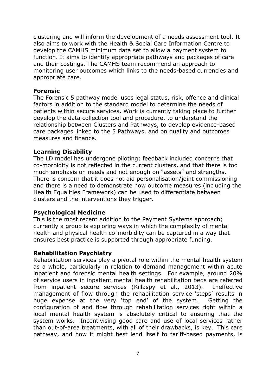clustering and will inform the development of a needs assessment tool. It also aims to work with the Health & Social Care Information Centre to develop the CAMHS minimum data set to allow a payment system to function. It aims to identify appropriate pathways and packages of care and their costings. The CAMHS team recommend an approach to monitoring user outcomes which links to the needs-based currencies and appropriate care.

#### **Forensic**

The Forensic 5 pathway model uses legal status, risk, offence and clinical factors in addition to the standard model to determine the needs of patients within secure services. Work is currently taking place to further develop the data collection tool and procedure, to understand the relationship between Clusters and Pathways, to develop evidence-based care packages linked to the 5 Pathways, and on quality and outcomes measures and finance.

#### **Learning Disability**

The LD model has undergone piloting; feedback included concerns that co-morbidity is not reflected in the current clusters, and that there is too much emphasis on needs and not enough on "assets" and strengths. There is concern that it does not aid personalisation/joint commissioning and there is a need to demonstrate how outcome measures (including the Health Equalities Framework) can be used to differentiate between clusters and the interventions they trigger.

#### **Psychological Medicine**

This is the most recent addition to the Payment Systems approach; currently a group is exploring ways in which the complexity of mental health and physical health co-morbidity can be captured in a way that ensures best practice is supported through appropriate funding.

#### **Rehabilitation Psychiatry**

Rehabilitation services play a pivotal role within the mental health system as a whole, particularly in relation to demand management within acute inpatient and forensic mental health settings. For example, around 20% of service users in inpatient mental health rehabilitation beds are referred from inpatient secure services (Killaspy et al., 2013). Ineffective management of flow through the rehabilitation service 'steps' results in huge expense at the very 'top end' of the system. Getting the configuration of and flow through rehabilitation services right within a local mental health system is absolutely critical to ensuring that the system works. Incentivising good care and use of local services rather than out-of-area treatments, with all of their drawbacks, is key. This care pathway, and how it might best lend itself to tariff-based payments, is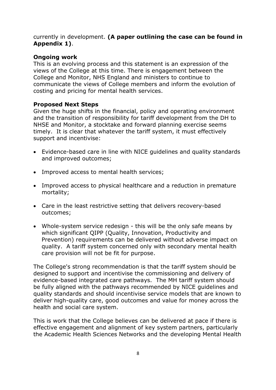## currently in development. **(A paper outlining the case can be found in Appendix 1)**.

## **Ongoing work**

This is an evolving process and this statement is an expression of the views of the College at this time. There is engagement between the College and Monitor, NHS England and ministers to continue to communicate the views of College members and inform the evolution of costing and pricing for mental health services.

## **Proposed Next Steps**

Given the huge shifts in the financial, policy and operating environment and the transition of responsibility for tariff development from the DH to NHSE and Monitor, a stocktake and forward planning exercise seems timely. It is clear that whatever the tariff system, it must effectively support and incentivise:

- Evidence-based care in line with NICE guidelines and quality standards and improved outcomes;
- Improved access to mental health services;
- Improved access to physical healthcare and a reduction in premature mortality;
- Care in the least restrictive setting that delivers recovery-based outcomes;
- Whole-system service redesign this will be the only safe means by which significant QIPP (Quality, Innovation, Productivity and Prevention) requirements can be delivered without adverse impact on quality. A tariff system concerned only with secondary mental health care provision will not be fit for purpose.

The College's strong recommendation is that the tariff system should be designed to support and incentivise the commissioning and delivery of evidence-based integrated care pathways. The MH tariff system should be fully aligned with the pathways recommended by NICE guidelines and quality standards and should incentivise service models that are known to deliver high-quality care, good outcomes and value for money across the health and social care system.

This is work that the College believes can be delivered at pace if there is effective engagement and alignment of key system partners, particularly the Academic Health Sciences Networks and the developing Mental Health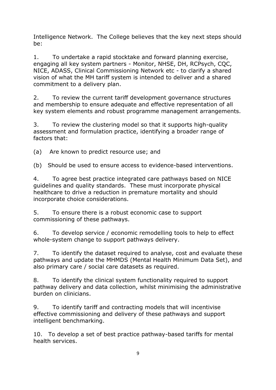Intelligence Network. The College believes that the key next steps should be:

1. To undertake a rapid stocktake and forward planning exercise, engaging all key system partners - Monitor, NHSE, DH, RCPsych, CQC, NICE, ADASS, Clinical Commissioning Network etc - to clarify a shared vision of what the MH tariff system is intended to deliver and a shared commitment to a delivery plan.

2. To review the current tariff development governance structures and membership to ensure adequate and effective representation of all key system elements and robust programme management arrangements.

3. To review the clustering model so that it supports high-quality assessment and formulation practice, identifying a broader range of factors that:

(a) Are known to predict resource use; and

(b) Should be used to ensure access to evidence-based interventions.

4. To agree best practice integrated care pathways based on NICE guidelines and quality standards. These must incorporate physical healthcare to drive a reduction in premature mortality and should incorporate choice considerations.

5. To ensure there is a robust economic case to support commissioning of these pathways.

6. To develop service / economic remodelling tools to help to effect whole-system change to support pathways delivery.

7. To identify the dataset required to analyse, cost and evaluate these pathways and update the MHMDS (Mental Health Minimum Data Set), and also primary care / social care datasets as required.

8. To identify the clinical system functionality required to support pathway delivery and data collection, whilst minimising the administrative burden on clinicians.

9. To identify tariff and contracting models that will incentivise effective commissioning and delivery of these pathways and support intelligent benchmarking.

10. To develop a set of best practice pathway-based tariffs for mental health services.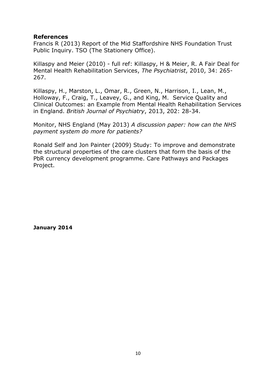## **References**

Francis R (2013) Report of the Mid Staffordshire NHS Foundation Trust Public Inquiry. TSO (The Stationery Office).

Killaspy and Meier (2010) - full ref: Killaspy, H & Meier, R. A Fair Deal for Mental Health Rehabilitation Services, *The Psychiatrist*, 2010, 34: 265- 267.

Killaspy, H., Marston, L., Omar, R., Green, N., Harrison, I., Lean, M., Holloway, F., Craig, T., Leavey, G., and King, M. Service Quality and Clinical Outcomes: an Example from Mental Health Rehabilitation Services in England. *British Journal of Psychiatry*, 2013, 202: 28-34.

Monitor, NHS England (May 2013) *A discussion paper: how can the NHS payment system do more for patients?*

Ronald Self and Jon Painter (2009) Study: To improve and demonstrate the structural properties of the care clusters that form the basis of the PbR currency development programme. Care Pathways and Packages Project.

**January 2014**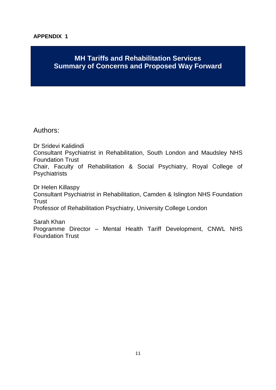## **APPENDIX 1**

## **MH Tariffs and Rehabilitation Services Summary of Concerns and Proposed Way Forward**

Authors:

Dr Sridevi Kalidindi Consultant Psychiatrist in Rehabilitation, South London and Maudsley NHS Foundation Trust Chair, Faculty of Rehabilitation & Social Psychiatry, Royal College of **Psychiatrists** 

Dr Helen Killaspy Consultant Psychiatrist in Rehabilitation, Camden & Islington NHS Foundation **Trust** Professor of Rehabilitation Psychiatry, University College London

Sarah Khan Programme Director – Mental Health Tariff Development, CNWL NHS Foundation Trust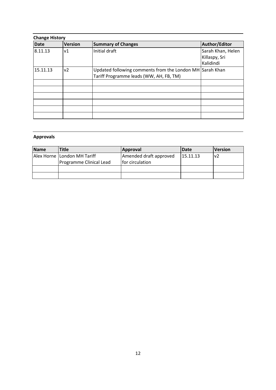| <b>Change History</b> |                |                                                                                                     |                                                 |  |
|-----------------------|----------------|-----------------------------------------------------------------------------------------------------|-------------------------------------------------|--|
| <b>Date</b>           | <b>Version</b> | <b>Summary of Changes</b>                                                                           | Author/Editor                                   |  |
| 8.11.13               | ν1             | Initial draft                                                                                       | Sarah Khan, Helen<br>Killaspy, Sri<br>Kalidindi |  |
| 15.11.13              | v <sub>2</sub> | Updated following comments from the London MH Sarah Khan<br>Tariff Programme leads (WW, AH, FB, TM) |                                                 |  |
|                       |                |                                                                                                     |                                                 |  |
|                       |                |                                                                                                     |                                                 |  |
|                       |                |                                                                                                     |                                                 |  |
|                       |                |                                                                                                     |                                                 |  |
|                       |                |                                                                                                     |                                                 |  |
|                       |                |                                                                                                     |                                                 |  |

## **Approvals**

| Name | Title                       | Approval               | <b>IDate</b> | <b>Version</b> |
|------|-----------------------------|------------------------|--------------|----------------|
|      | Alex Horne London MH Tariff | Amended draft approved | 15.11.13     | v2             |
|      | Programme Clinical Lead     | for circulation        |              |                |
|      |                             |                        |              |                |
|      |                             |                        |              |                |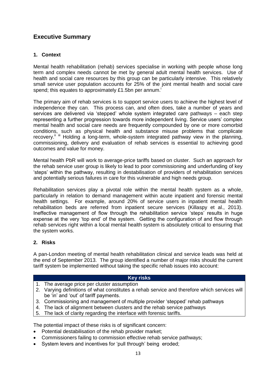## **Executive Summary**

#### **1. Context**

Mental health rehabilitation (rehab) services specialise in working with people whose long term and complex needs cannot be met by general adult mental health services. Use of health and social care resources by this group can be particularly intensive. This relatively small service user population accounts for 25% of the joint mental health and social care spend; this equates to approximately  $£1.5$ bn per annum.<sup>i</sup>

The primary aim of rehab services is to support service users to achieve the highest level of independence they can. This process can, and often does, take a number of years and services are delivered via 'stepped' whole system integrated care pathways – each step representing a further progression towards more independent living. Service users' complex mental health and social care needs are frequently compounded by one or more comorbid conditions, such as physical health and substance misuse problems that complicate recovery.<sup>iiii</sup> Holding a long-term, whole-system integrated pathway view in the planning, commissioning, delivery and evaluation of rehab services is essential to achieving good outcomes and value for money.

Mental health PbR will work to average-price tariffs based on cluster. Such an approach for the rehab service user group is likely to lead to poor commissioning and underfunding of key 'steps' within the pathway, resulting in destabilisation of providers of rehabilitation services and potentially serious failures in care for this vulnerable and high needs group.

Rehabilitation services play a pivotal role within the mental health system as a whole, particularly in relation to demand management within acute inpatient and forensic mental health settings. For example, around 20% of service users in inpatient mental health rehabilitation beds are referred from inpatient secure services (Killaspy et al., 2013). Ineffective management of flow through the rehabilitation service 'steps' results in huge expense at the very 'top end' of the system. Getting the configuration of and flow through rehab services right within a local mental health system is absolutely critical to ensuring that the system works.

#### **2. Risks**

A pan-London meeting of mental health rehabilitation clinical and service leads was held at the end of September 2013. The group identified a number of major risks should the current tariff system be implemented without taking the specific rehab issues into account:

#### **Key risks**

- 1. The average price per cluster assumption
- 2. Varying definitions of what constitutes a rehab service and therefore which services will be 'in' and 'out' of tariff payments.
- 3. Commissioning and management of multiple provider 'stepped' rehab pathways
- 4. The lack of alignment between clusters and the rehab service pathways
- 5. The lack of clarity regarding the interface with forensic tariffs.

The potential impact of these risks is of significant concern:

- Potential destabilisation of the rehab provider market:
- Commissioners failing to commission effective rehab service pathways;
- System levers and incentives for 'pull through' being eroded;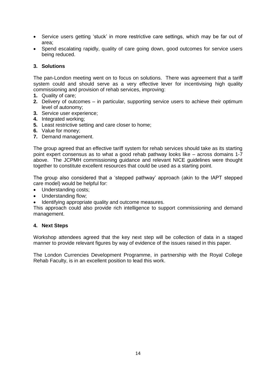- Service users getting 'stuck' in more restrictive care settings, which may be far out of area;
- Spend escalating rapidly, quality of care going down, good outcomes for service users being reduced.

#### **3. Solutions**

The pan-London meeting went on to focus on solutions. There was agreement that a tariff system could and should serve as a very effective lever for incentivising high quality commissioning and provision of rehab services, improving:

- **1.** Quality of care;
- **2.** Delivery of outcomes in particular, supporting service users to achieve their optimum level of autonomy;
- **3.** Service user experience;
- **4.** Integrated working;
- **5.** Least restrictive setting and care closer to home;
- **6.** Value for money;
- **7.** Demand management.

The group agreed that an effective tariff system for rehab services should take as its starting point expert consensus as to what a good rehab pathway looks like – across domains 1-7 above. The JCPMH commissioning guidance and relevant NICE guidelines were thought together to constitute excellent resources that could be used as a starting point.

The group also considered that a 'stepped pathway' approach (akin to the IAPT stepped care model) would be helpful for:

- Understanding costs;
- Understanding flow;
- Identifying appropriate quality and outcome measures.

This approach could also provide rich intelligence to support commissioning and demand management.

#### **4. Next Steps**

Workshop attendees agreed that the key next step will be collection of data in a staged manner to provide relevant figures by way of evidence of the issues raised in this paper.

The London Currencies Development Programme, in partnership with the Royal College Rehab Faculty, is in an excellent position to lead this work.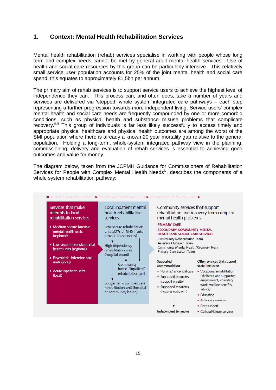## **1. Context: Mental Health Rehabilitation Services**

Mental health rehabilitation (rehab) services specialise in working with people whose long term and complex needs cannot be met by general adult mental health services. Use of health and social care resources by this group can be particularly intensive. This relatively small service user population accounts for 25% of the joint mental health and social care spend; this equates to approximately £1.5bn per annum.

The primary aim of rehab services is to support service users to achieve the highest level of independence they can. This process can, and often does, take a number of years and services are delivered via 'stepped' whole system integrated care pathways – each step representing a further progression towards more independent living. Service users' complex mental health and social care needs are frequently compounded by one or more comorbid conditions, such as physical health and substance misuse problems that complicate recovery.<sup>ii,iii</sup> This group of individuals is far less likely successfully to access timely and appropriate physical healthcare and physical health outcomes are among the worst of the SMI population where there is already a known 20 year mortality gap relative to the general population. Holding a long-term, whole-system integrated pathway view in the planning, commissioning, delivery and evaluation of rehab services is essential to achieving good outcomes and value for money.

The diagram below, taken from the JCPMH Guidance for Commissioners of Rehabilitation Services for People with Complex Mental Health Needs<sup> $\%$ </sup>, describes the components of a whole system rehabilitation pathway:

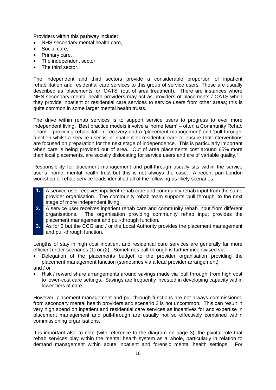Providers within this pathway include:

- NHS secondary mental health care,
- Social care,
- Primary care,
- The independent sector,
- The third sector.

The independent and third sectors provide a considerable proportion of inpatient rehabilitation and residential care services to this group of service users. These are usually described as 'placements' or 'OATS' (out of area treatment). There are instances where NHS secondary mental health providers may act as providers of placements / OATS when they provide inpatient or residential care services to service users from other areas; this is quite common in some larger mental health trusts.

The drive within rehab services is to support service users to progress to ever more independent living. Best practice models involve a 'home team' – often a Community Rehab Team – providing rehabilitation, recovery and a 'placement management' and 'pull through' function whilst a service user is in inpatient or residential care to ensure that interventions are focused on preparation for the next stage of independence. This is particularly important when care is being provided out of area. Out of area placements cost around 65% more than local placements, are socially dislocating for service users and are of variable quality. $v$ 

Responsibility for placement management and pull-through usually sits within the service user's 'home' mental health trust but this is not always the case. A recent pan-London workshop of rehab service leads identified all of the following as likely scenarios:

- **1.** A service user receives inpatient rehab care and community rehab input from the same provider organisation. The community rehab team supports 'pull through' to the next stage of more independent living.
- **2.** A service user receives inpatient rehab care and community rehab input from different organisations. The organisation providing community rehab input provides the placement management and pull-through function.
- **3.** As for 2 but the CCG and / or the Local Authority provides the placement management and pull-through function.

Lengths of stay in high cost inpatient and residential care services are generally far more efficient under scenarios (1) or (2). Sometimes pull-through is further incentivised via

- Delegation of the placements budget to the provider organisation providing the placement management function (sometimes via a lead provider arrangement) and / or
- Risk / reward share arrangements around savings made via 'pull through' from high cost to lower-cost care settings. Savings are frequently invested in developing capacity within lower tiers of care.

However, placement management and pull-through functions are not always commissioned from secondary mental health providers and scenario 3 is not uncommon. This can result in very high spend on inpatient and residential care services as incentives for and expertise in placement management and pull-through are usually not so effectively combined within commissioning organisations.

It is important also to note (with reference to the diagram on page 3), the pivotal role that rehab services play within the mental health system as a whole, particularly in relation to demand management within acute inpatient and forensic mental health settings. For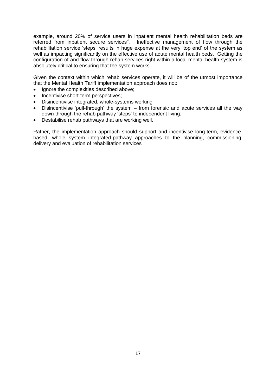example, around 20% of service users in inpatient mental health rehabilitation beds are referred from inpatient secure services<sup>vi</sup>. Ineffective management of flow through the rehabilitation service 'steps' results in huge expense at the very 'top end' of the system as well as impacting significantly on the effective use of acute mental health beds. Getting the configuration of and flow through rehab services right within a local mental health system is absolutely critical to ensuring that the system works.

Given the context within which rehab services operate, it will be of the utmost importance that the Mental Health Tariff implementation approach does not:

- Ignore the complexities described above;
- Incentivise short-term perspectives:
- Disincentivise integrated, whole-systems working
- Disincentivise 'pull-through' the system from forensic and acute services all the way down through the rehab pathway 'steps' to independent living;
- Destabilise rehab pathways that are working well.

Rather, the implementation approach should support and incentivise long-term, evidencebased, whole system integrated-pathway approaches to the planning, commissioning, delivery and evaluation of rehabilitation services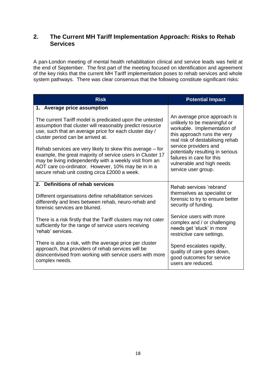## **2. The Current MH Tariff Implementation Approach: Risks to Rehab Services**

A pan-London meeting of mental health rehabilitation clinical and service leads was held at the end of September. The first part of the meeting focused on identification and agreement of the key risks that the current MH Tariff implementation poses to rehab services and whole system pathways. There was clear consensus that the following constitute significant risks:

| <b>Risk</b>                                                                                                                                                                                                                                                                               | <b>Potential Impact</b>                                                                                                                                                                                                                                                                                      |  |
|-------------------------------------------------------------------------------------------------------------------------------------------------------------------------------------------------------------------------------------------------------------------------------------------|--------------------------------------------------------------------------------------------------------------------------------------------------------------------------------------------------------------------------------------------------------------------------------------------------------------|--|
| 1. Average price assumption                                                                                                                                                                                                                                                               |                                                                                                                                                                                                                                                                                                              |  |
| The current Tariff model is predicated upon the untested<br>assumption that cluster will reasonably predict resource<br>use, such that an average price for each cluster day /<br>cluster period can be arrived at.                                                                       | An average price approach is<br>unlikely to be meaningful or<br>workable. Implementation of<br>this approach runs the very<br>real risk of destabilising rehab<br>service providers and<br>potentially resulting in serious<br>failures in care for this<br>vulnerable and high needs<br>service user group. |  |
| Rehab services are very likely to skew this average – for<br>example, the great majority of service users in Cluster 17<br>may be living independently with a weekly visit from an<br>AOT care co-ordinator. However, 10% may be in in a<br>secure rehab unit costing circa £2000 a week. |                                                                                                                                                                                                                                                                                                              |  |
| 2. Definitions of rehab services                                                                                                                                                                                                                                                          | Rehab services 'rebrand'<br>themselves as specialist or<br>forensic to try to ensure better<br>security of funding.                                                                                                                                                                                          |  |
| Different organisations define rehabilitation services<br>differently and lines between rehab, neuro-rehab and<br>forensic services are blurred.                                                                                                                                          |                                                                                                                                                                                                                                                                                                              |  |
| There is a risk firstly that the Tariff clusters may not cater<br>sufficiently for the range of service users receiving<br>'rehab' services.                                                                                                                                              | Service users with more<br>complex and / or challenging<br>needs get 'stuck' in more<br>restrictive care settings.                                                                                                                                                                                           |  |
| There is also a risk, with the average price per cluster<br>approach, that providers of rehab services will be<br>disincentivised from working with service users with more<br>complex needs.                                                                                             | Spend escalates rapidly,<br>quality of care goes down,<br>good outcomes for service<br>users are reduced.                                                                                                                                                                                                    |  |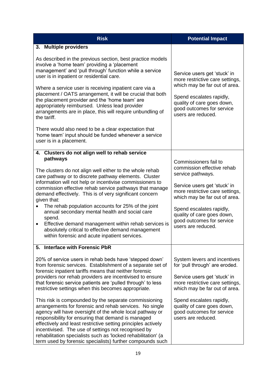| <b>Risk</b>                                                                                                                                                                                                                                                                                                                                                                                                                                                                              | <b>Potential Impact</b>                                                                                   |
|------------------------------------------------------------------------------------------------------------------------------------------------------------------------------------------------------------------------------------------------------------------------------------------------------------------------------------------------------------------------------------------------------------------------------------------------------------------------------------------|-----------------------------------------------------------------------------------------------------------|
| 3. Multiple providers                                                                                                                                                                                                                                                                                                                                                                                                                                                                    |                                                                                                           |
| As described in the previous section, best practice models<br>involve a 'home team' providing a 'placement<br>management' and 'pull through' function while a service<br>user is in inpatient or residential care.                                                                                                                                                                                                                                                                       | Service users get 'stuck' in<br>more restrictive care settings,<br>which may be far out of area.          |
| Where a service user is receiving inpatient care via a<br>placement / OATS arrangement, it will be crucial that both<br>the placement provider and the 'home team' are<br>appropriately reimbursed. Unless lead provider<br>arrangements are in place, this will require unbundling of<br>the tariff.                                                                                                                                                                                    | Spend escalates rapidly,<br>quality of care goes down,<br>good outcomes for service<br>users are reduced. |
| There would also need to be a clear expectation that<br>'home team' input should be funded whenever a service<br>user is in a placement.                                                                                                                                                                                                                                                                                                                                                 |                                                                                                           |
| 4. Clusters do not align well to rehab service<br>pathways                                                                                                                                                                                                                                                                                                                                                                                                                               |                                                                                                           |
| The clusters do not align well either to the whole rehab<br>care pathway or to discrete pathway elements. Cluster                                                                                                                                                                                                                                                                                                                                                                        | Commissioners fail to<br>commission effective rehab<br>service pathways.                                  |
| information will not help or incentivise commissioners to<br>commission effective rehab service pathways that manage<br>demand effectively. This is of very significant concern<br>given that:                                                                                                                                                                                                                                                                                           | Service users get 'stuck' in<br>more restrictive care settings,<br>which may be far out of area.          |
| The rehab population accounts for 25% of the joint<br>annual secondary mental health and social care<br>spend.                                                                                                                                                                                                                                                                                                                                                                           | Spend escalates rapidly,<br>quality of care goes down,<br>good outcomes for service                       |
| Effective demand management within rehab services is<br>٠<br>absolutely critical to effective demand management<br>within forensic and acute inpatient services.                                                                                                                                                                                                                                                                                                                         | users are reduced.                                                                                        |
| 5. Interface with Forensic PbR                                                                                                                                                                                                                                                                                                                                                                                                                                                           |                                                                                                           |
| 20% of service users in rehab beds have 'stepped down'<br>from forensic services. Establishment of a separate set of<br>forensic inpatient tariffs means that neither forensic                                                                                                                                                                                                                                                                                                           | System levers and incentives<br>for 'pull through' are eroded.                                            |
| providers nor rehab providers are incentivised to ensure<br>that forensic service patients are 'pulled through' to less<br>restrictive settings when this becomes appropriate.                                                                                                                                                                                                                                                                                                           | Service users get 'stuck' in<br>more restrictive care settings,<br>which may be far out of area.          |
| This risk is compounded by the separate commissioning<br>arrangements for forensic and rehab services. No single<br>agency will have oversight of the whole local pathway or<br>responsibility for ensuring that demand is managed<br>effectively and least restrictive setting principles actively<br>incentivised. The use of settings not recognised by<br>rehabilitation specialists such as 'locked rehabilitation' (a<br>term used by forensic specialists) further compounds such | Spend escalates rapidly,<br>quality of care goes down,<br>good outcomes for service<br>users are reduced. |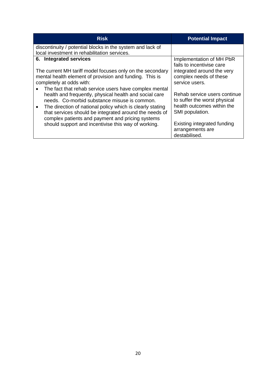| <b>Risk</b>                                                                                                                                                                                                                                                                                         | <b>Potential Impact</b>                                                                                       |
|-----------------------------------------------------------------------------------------------------------------------------------------------------------------------------------------------------------------------------------------------------------------------------------------------------|---------------------------------------------------------------------------------------------------------------|
| discontinuity / potential blocks in the system and lack of<br>local investment in rehabilitation services.                                                                                                                                                                                          |                                                                                                               |
| 6. Integrated services                                                                                                                                                                                                                                                                              | Implementation of MH PbR<br>fails to incentivise care                                                         |
| The current MH tariff model focuses only on the secondary<br>mental health element of provision and funding. This is<br>completely at odds with:                                                                                                                                                    | integrated around the very<br>complex needs of these<br>service users.                                        |
| The fact that rehab service users have complex mental<br>health and frequently, physical health and social care<br>needs. Co-morbid substance misuse is common.<br>The direction of national policy which is clearly stating<br>$\bullet$<br>that services should be integrated around the needs of | Rehab service users continue<br>to suffer the worst physical<br>health outcomes within the<br>SMI population. |
| complex patients and payment and pricing systems<br>should support and incentivise this way of working.                                                                                                                                                                                             | Existing integrated funding<br>arrangements are<br>destabilised.                                              |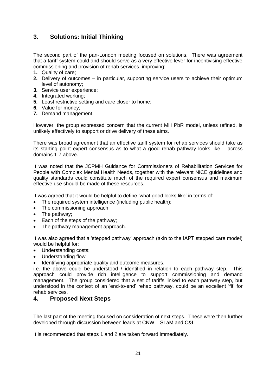## **3. Solutions: Initial Thinking**

The second part of the pan-London meeting focused on solutions. There was agreement that a tariff system could and should serve as a very effective lever for incentivising effective commissioning and provision of rehab services, improving:

- **1.** Quality of care;
- **2.** Delivery of outcomes in particular, supporting service users to achieve their optimum level of autonomy;
- **3.** Service user experience;
- **4.** Integrated working;
- **5.** Least restrictive setting and care closer to home;
- **6.** Value for money;
- **7.** Demand management.

However, the group expressed concern that the current MH PbR model, unless refined, is unlikely effectively to support or drive delivery of these aims.

There was broad agreement that an effective tariff system for rehab services should take as its starting point expert consensus as to what a good rehab pathway looks like – across domains 1-7 above.

It was noted that the JCPMH Guidance for Commissioners of Rehabilitation Services for People with Complex Mental Health Needs, together with the relevant NICE guidelines and quality standards could constitute much of the required expert consensus and maximum effective use should be made of these resources.

It was agreed that it would be helpful to define 'what good looks like' in terms of:

- The required system intelligence (including public health);
- The commissioning approach;
- The pathway;
- Each of the steps of the pathway;
- The pathway management approach.

It was also agreed that a 'stepped pathway' approach (akin to the IAPT stepped care model) would be helpful for:

- Understanding costs;
- Understanding flow;
- Identifying appropriate quality and outcome measures.

i.e. the above could be understood / identified in relation to each pathway step. This approach could provide rich intelligence to support commissioning and demand management. The group considered that a set of tariffs linked to each pathway step, but understood in the context of an 'end-to-end' rehab pathway, could be an excellent 'fit' for rehab services.

## **4. Proposed Next Steps**

The last part of the meeting focused on consideration of next steps. These were then further developed through discussion between leads at CNWL, SLaM and C&I.

It is recommended that steps 1 and 2 are taken forward immediately.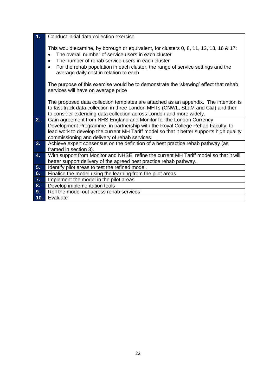| $\mathbf{1}$ . | Conduct initial data collection exercise                                                                                                                                                                                                                                                                                                                              |
|----------------|-----------------------------------------------------------------------------------------------------------------------------------------------------------------------------------------------------------------------------------------------------------------------------------------------------------------------------------------------------------------------|
|                | This would examine, by borough or equivalent, for clusters 0, 8, 11, 12, 13, 16 & 17:<br>The overall number of service users in each cluster<br>$\bullet$<br>The number of rehab service users in each cluster<br>$\bullet$<br>For the rehab population in each cluster, the range of service settings and the<br>$\bullet$<br>average daily cost in relation to each |
|                | The purpose of this exercise would be to demonstrate the 'skewing' effect that rehab<br>services will have on average price                                                                                                                                                                                                                                           |
|                | The proposed data collection templates are attached as an appendix. The intention is<br>to fast-track data collection in three London MHTs (CNWL, SLaM and C&I) and then<br>to consider extending data collection across London and more widely.                                                                                                                      |
| 2.             | Gain agreement from NHS England and Monitor for the London Currency<br>Development Programme, in partnership with the Royal College Rehab Faculty, to<br>lead work to develop the current MH Tariff model so that it better supports high quality<br>commissioning and delivery of rehab services.                                                                    |
| 3.             | Achieve expert consensus on the definition of a best practice rehab pathway (as                                                                                                                                                                                                                                                                                       |
| 4.             | framed in section 3).<br>With support from Monitor and NHSE, refine the current MH Tariff model so that it will<br>better support delivery of the agreed best practice rehab pathway.                                                                                                                                                                                 |
| 5.             | Identify pilot areas to test the refined model.                                                                                                                                                                                                                                                                                                                       |
| 6.             | Finalise the model using the learning from the pilot areas                                                                                                                                                                                                                                                                                                            |
| 7.             | Implement the model in the pilot areas                                                                                                                                                                                                                                                                                                                                |
| 8.             | Develop implementation tools                                                                                                                                                                                                                                                                                                                                          |
| 9.             | Roll the model out across rehab services                                                                                                                                                                                                                                                                                                                              |
| 10.            | Evaluate                                                                                                                                                                                                                                                                                                                                                              |